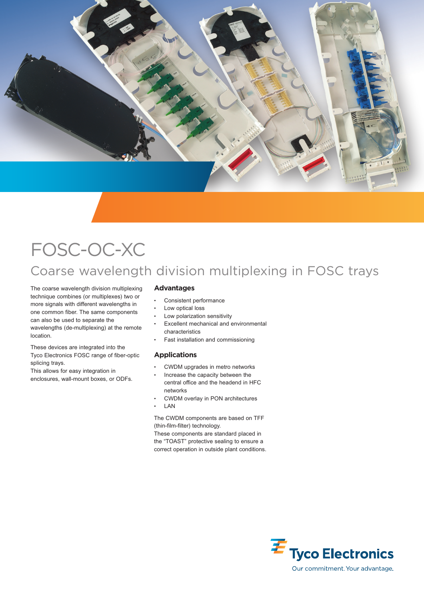

# FOSC-OC-XC Coarse wavelength division multiplexing in FOSC trays

The coarse wavelength division multiplexing technique combines (or multiplexes) two or more signals with different wavelengths in one common fiber. The same components can also be used to separate the wavelengths (de-multiplexing) at the remote location.

These devices are integrated into the Tyco Electronics FOSC range of fiber-optic splicing trays.

This allows for easy integration in enclosures, wall-mount boxes, or ODFs.

## **Advantages**

- Consistent performance
- Low optical loss
- Low polarization sensitivity
- Excellent mechanical and environmental characteristics
- Fast installation and commissioning

# **Applications**

- CWDM upgrades in metro networks
- Increase the capacity between the central office and the headend in HFC networks
- CWDM overlay in PON architectures
- **LAN**

The CWDM components are based on TFF (thin-film-filter) technology.

These components are standard placed in the "TOAST" protective sealing to ensure a correct operation in outside plant conditions.